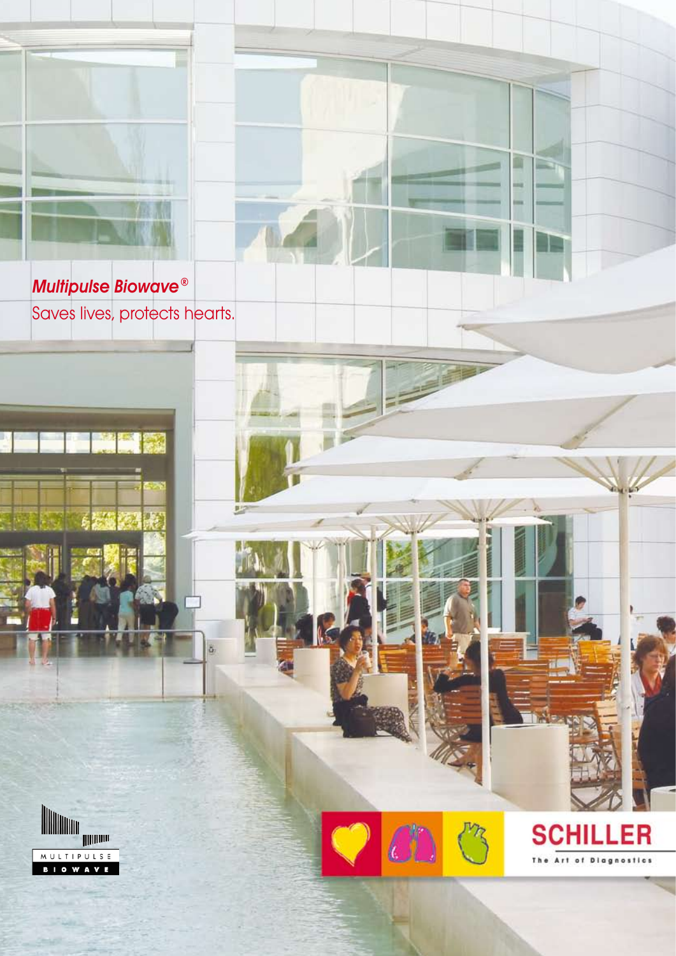

Multipulse Biowave® Saves lives, protects hearts.





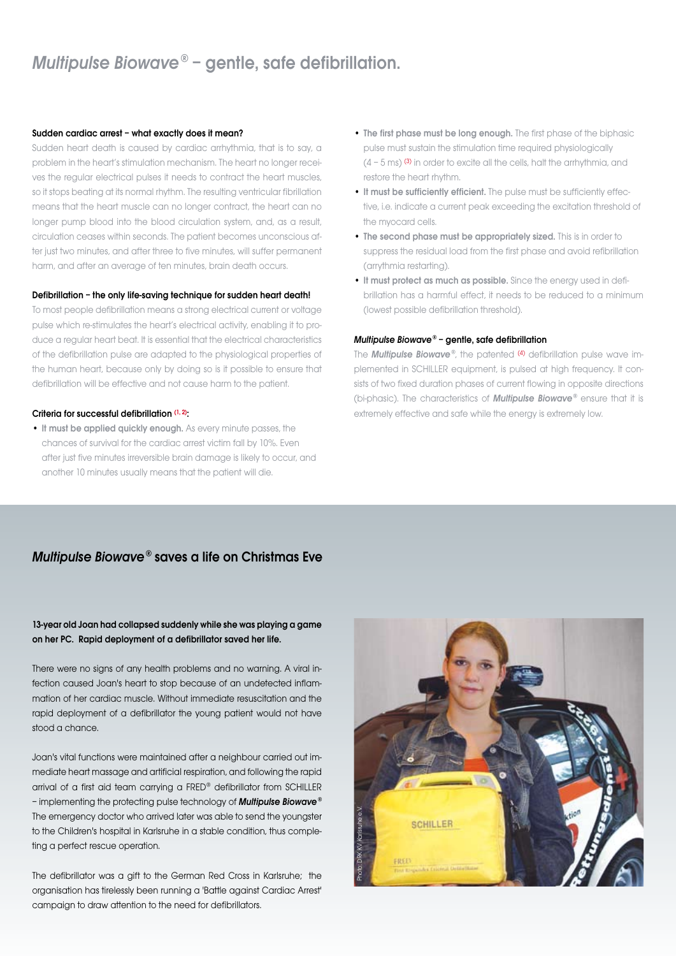## Multipulse Biowave® – gentle, safe defibrillation.

### Sudden cardiac arrest – what exactly does it mean?

Sudden heart death is caused by cardiac arrhythmia, that is to say, a problem in the heart's stimulation mechanism. The heart no longer receives the regular electrical pulses it needs to contract the heart muscles, so it stops beating at its normal rhythm. The resulting ventricular fibrillation means that the heart muscle can no longer contract, the heart can no longer pump blood into the blood circulation system, and, as a result, circulation ceases within seconds. The patient becomes unconscious after just two minutes, and after three to five minutes, will suffer permanent harm, and after an average of ten minutes, brain death occurs.

### Defibrillation – the only life-saving technique for sudden heart death!

To most people defibrillation means a strong electrical current or voltage pulse which re-stimulates the heart's electrical activity, enabling it to produce a regular heart beat. It is essential that the electrical characteristics of the defibrillation pulse are adapted to the physiological properties of the human heart, because only by doing so is it possible to ensure that defibrillation will be effective and not cause harm to the patient.

#### Criteria for successful defibrillation (1, 2):

• It must be applied quickly enough. As every minute passes, the chances of survival for the cardiac arrest victim fall by 10%. Even after just five minutes irreversible brain damage is likely to occur, and another 10 minutes usually means that the patient will die.

- The first phase must be long enough. The first phase of the biphasic pulse must sustain the stimulation time required physiologically  $(4 - 5 \text{ ms})$  (3) in order to excite all the cells, halt the arrhythmia, and restore the heart rhythm.
- It must be sufficiently efficient. The pulse must be sufficiently effective, i.e. indicate a current peak exceeding the excitation threshold of the myocard cells.
- The second phase must be appropriately sized. This is in order to suppress the residual load from the first phase and avoid refibrillation (arrythmia restarting).
- It must protect as much as possible. Since the energy used in defibrillation has a harmful effect, it needs to be reduced to a minimum (lowest possible defibrillation threshold).

### Multipulse Biowave® – gentle, safe defibrillation

The **Multipulse Biowave**®, the patented (4) defibrillation pulse wave implemented in SCHILLER equipment, is pulsed at high frequency. It consists of two fixed duration phases of current flowing in opposite directions (bi-phasic). The characteristics of Multipulse Biowave® ensure that it is extremely effective and safe while the energy is extremely low.

### Multipulse Biowave® saves a life on Christmas Eve

### 13-year old Joan had collapsed suddenly while she was playing a game on her PC. Rapid deployment of a defibrillator saved her life.

There were no signs of any health problems and no warning. A viral infection caused Joan's heart to stop because of an undetected inflammation of her cardiac muscle. Without immediate resuscitation and the rapid deployment of a defibrillator the young patient would not have stood a chance.

Joan's vital functions were maintained after a neighbour carried out immediate heart massage and artificial respiration, and following the rapid arrival of a first aid team carrying a FRED® defibrillator from SCHILLER – implementing the protecting pulse technology of **Multipulse Biowave**<sup>®</sup> The emergency doctor who arrived later was able to send the youngster to the Children's hospital in Karlsruhe in a stable condition, thus completing a perfect rescue operation.

The defibrillator was a gift to the German Red Cross in Karlsruhe; the organisation has tirelessly been running a 'Battle against Cardiac Arrest' campaign to draw attention to the need for defibrillators.

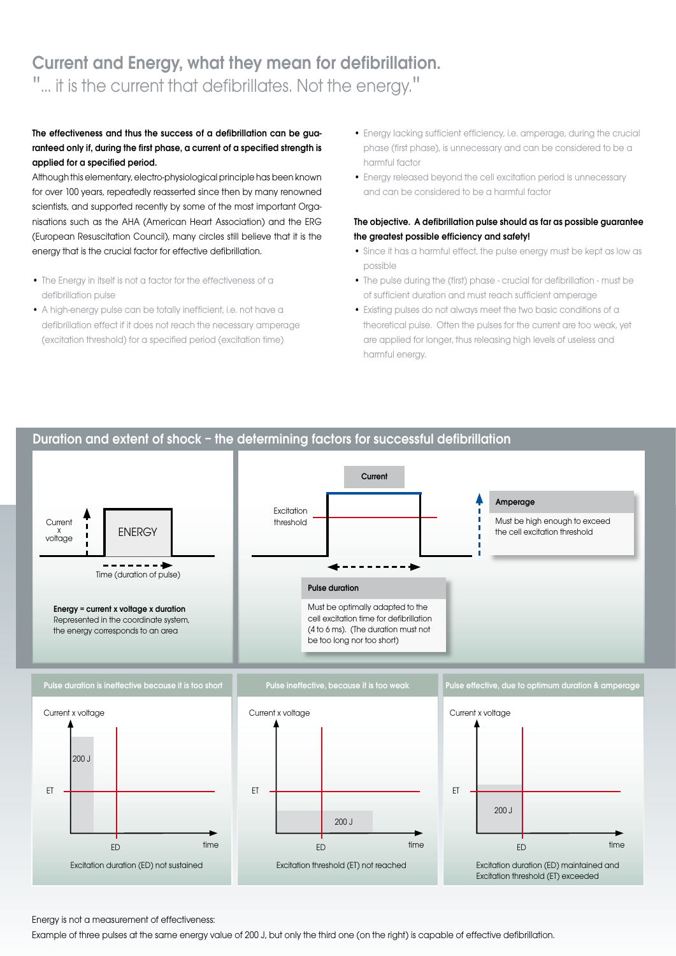# Current and Energy, what they mean for defibrillation. '... it is the current that defibrillates. Not the energy."

### The effectiveness and thus the success of a defibrillation can be guaranteed only if, during the first phase, a current of a specified strength is applied for a specified period.

Although this elementary, electro-physiological principle has been known for over 100 years, repeatedly reasserted since then by many renowned scientists, and supported recently by some of the most important Organisations such as the AHA (American Heart Association) and the ERG (European Resuscitation Council), many circles still believe that it is the energy that is the crucial factor for effective defibrillation.

- The Energy in itself is not a factor for the effectiveness of a defibrillation pulse
- A high-energy pulse can be totally inefficient, i.e. not have a defibrillation effect if it does not reach the necessary amperage (excitation threshold) for a specified period (excitation time)
- Energy lacking sufficient efficiency, i.e. amperage, during the crucial phase (first phase), is unnecessary and can be considered to be a harmful factor
- Energy released beyond the cell excitation period is unnecessary and can be considered to be a harmful factor

### The objective. A defibrillation pulse should as far as possible guarantee the greatest possible efficiency and safety!

- Since it has a harmful effect, the pulse energy must be kept as low as possible
- The pulse during the (first) phase crucial for defibrillation must be of sufficient duration and must reach sufficient amperage
- Existing pulses do not always meet the two basic conditions of a theoretical pulse. Often the pulses for the current are too weak, yet are applied for longer, thus releasing high levels of useless and harmful energy.



Energy is not a measurement of effectiveness:

Example of three pulses at the same energy value of 200 J, but only the third one (on the right) is capable of effective defibrillation.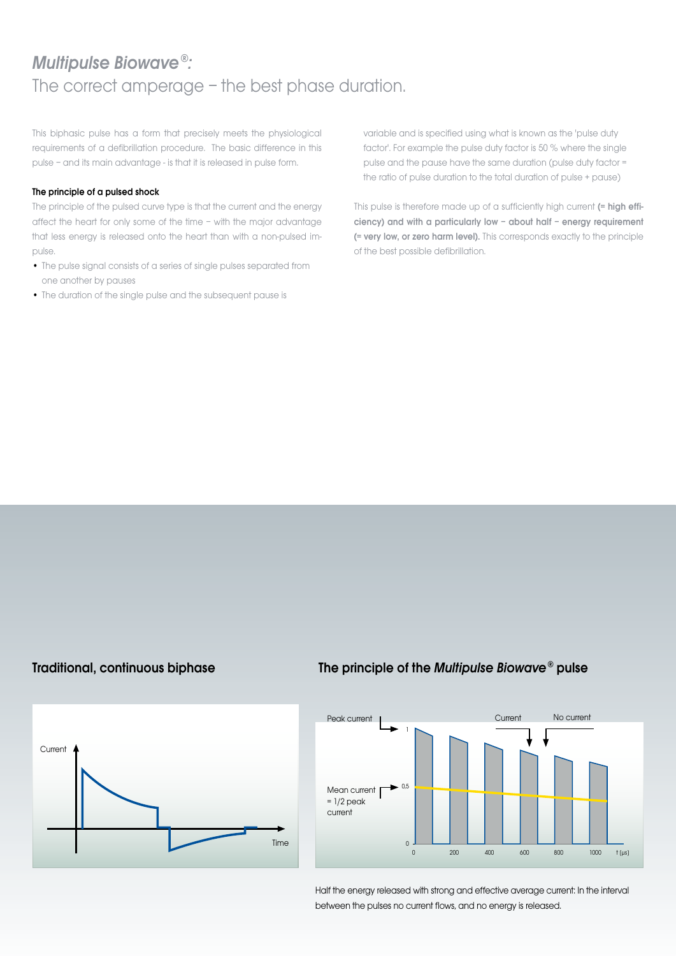## Multipulse Biowave®: The correct amperage – the best phase duration.

This biphasic pulse has a form that precisely meets the physiological requirements of a defibrillation procedure. The basic difference in this pulse – and its main advantage - is that it is released in pulse form.

### The principle of a pulsed shock

The principle of the pulsed curve type is that the current and the energy affect the heart for only some of the time – with the major advantage that less energy is released onto the heart than with a non-pulsed impulse.

- The pulse signal consists of a series of single pulses separated from one another by pauses
- The duration of the single pulse and the subsequent pause is

variable and is specified using what is known as the 'pulse duty factor'. For example the pulse duty factor is 50 % where the single pulse and the pause have the same duration (pulse duty factor = the ratio of pulse duration to the total duration of pulse + pause)

This pulse is therefore made up of a sufficiently high current (= high efficiency) and with a particularly low – about half – energy requirement (= very low, or zero harm level). This corresponds exactly to the principle of the best possible defibrillation.

### Traditional, continuous biphase

### The principle of the Multipulse Biowave® pulse





Half the energy released with strong and effective average current: In the interval between the pulses no current flows, and no energy is released.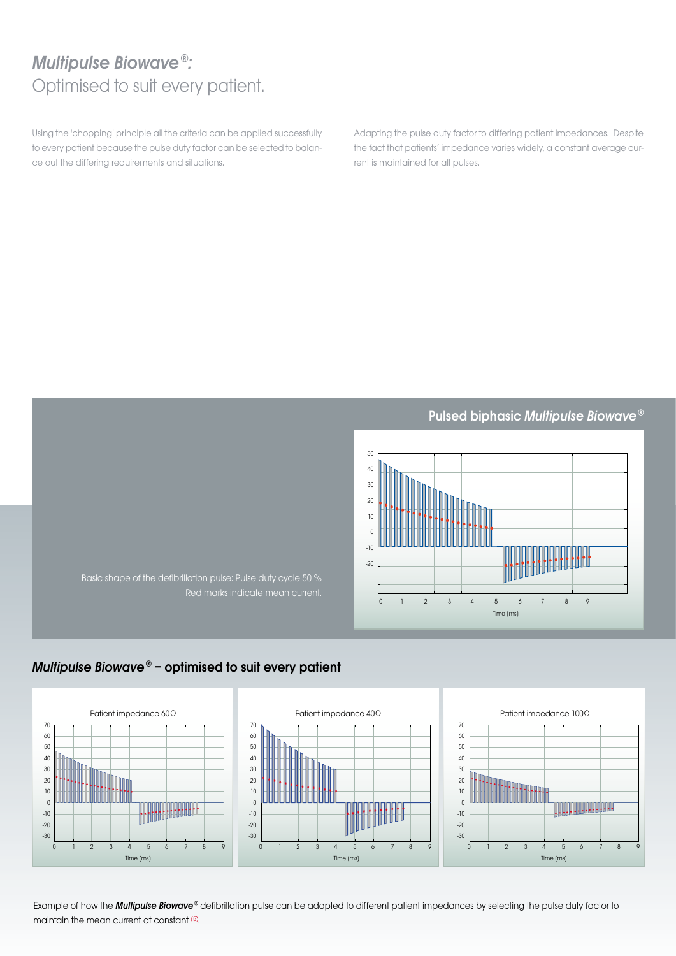# Multipulse Biowave®: Optimised to suit every patient.

Using the 'chopping' principle all the criteria can be applied successfully to every patient because the pulse duty factor can be selected to balance out the differing requirements and situations.

Adapting the pulse duty factor to differing patient impedances. Despite the fact that patients' impedance varies widely, a constant average current is maintained for all pulses.

Pulsed biphasic Multipulse Biowave®



Basic shape of the defibrillation pulse: Pulse duty cycle 50 % Red marks indicate mean current.

### Multipulse Biowave® – optimised to suit every patient



Example of how the **Multipulse Biowave®** defibrillation pulse can be adapted to different patient impedances by selecting the pulse duty factor to maintain the mean current at constant (5).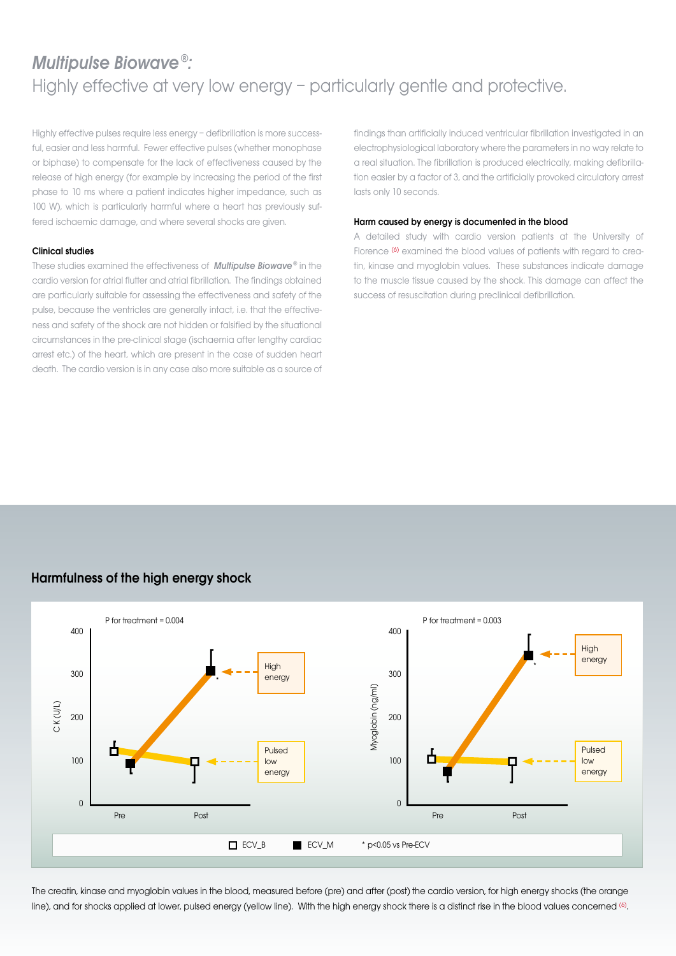# Multipulse Biowave®: Highly effective at very low energy – particularly gentle and protective.

Highly effective pulses require less energy – defibrillation is more successful, easier and less harmful. Fewer effective pulses (whether monophase or biphase) to compensate for the lack of effectiveness caused by the release of high energy (for example by increasing the period of the first phase to 10 ms where a patient indicates higher impedance, such as 100 W), which is particularly harmful where a heart has previously suffered ischaemic damage, and where several shocks are given.

### Clinical studies

These studies examined the effectiveness of **Multipulse Biowave**® in the cardio version for atrial flutter and atrial fibrillation. The findings obtained are particularly suitable for assessing the effectiveness and safety of the pulse, because the ventricles are generally intact, i.e. that the effectiveness and safety of the shock are not hidden or falsified by the situational circumstances in the pre-clinical stage (ischaemia after lengthy cardiac arrest etc.) of the heart, which are present in the case of sudden heart death. The cardio version is in any case also more suitable as a source of findings than artificially induced ventricular fibrillation investigated in an electrophysiological laboratory where the parameters in no way relate to a real situation. The fibrillation is produced electrically, making defibrillation easier by a factor of 3, and the artificially provoked circulatory arrest lasts only 10 seconds.

### Harm caused by energy is documented in the blood

A detailed study with cardio version patients at the University of Florence <sup>(6)</sup> examined the blood values of patients with regard to creatin, kinase and myoglobin values. These substances indicate damage to the muscle tissue caused by the shock. This damage can affect the success of resuscitation during preclinical defibrillation.

### Harmfulness of the high energy shock



The creatin, kinase and myoglobin values in the blood, measured before (pre) and after (post) the cardio version, for high energy shocks (the orange line), and for shocks applied at lower, pulsed energy (yellow line). With the high energy shock there is a distinct rise in the blood values concerned (6).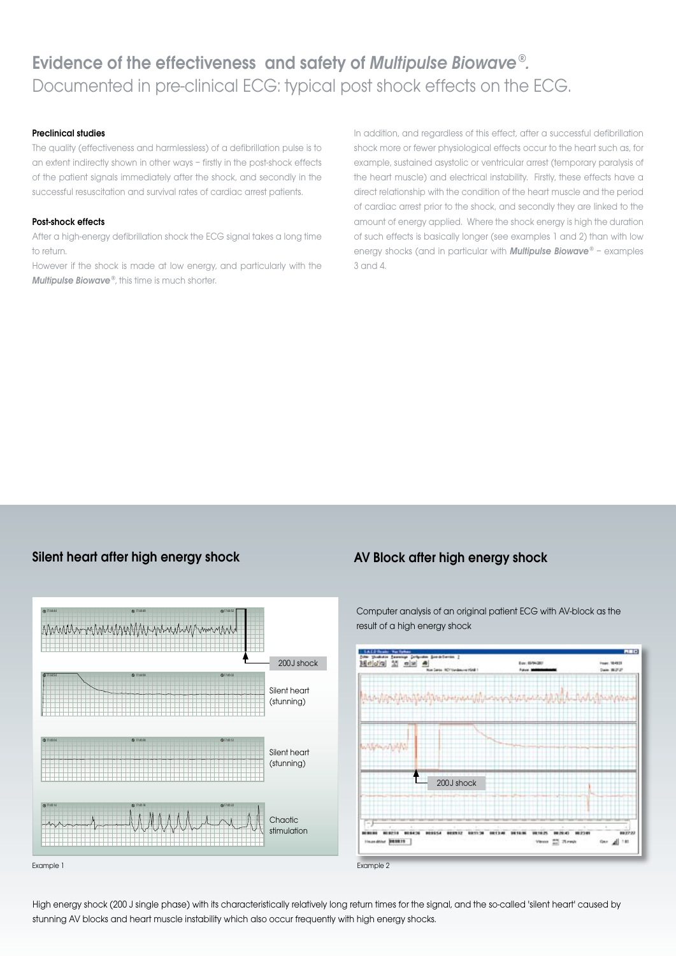### Preclinical studies

The quality (effectiveness and harmlessless) of a defibrillation pulse is to an extent indirectly shown in other ways – firstly in the post-shock effects of the patient signals immediately after the shock, and secondly in the successful resuscitation and survival rates of cardiac arrest patients.

### Post-shock effects

After a high-energy defibrillation shock the ECG signal takes a long time to return.

However if the shock is made at low energy, and particularly with the Multipulse Biowave®, this time is much shorter.

In addition, and regardless of this effect, after a successful defibrillation shock more or fewer physiological effects occur to the heart such as, for example, sustained asystolic or ventricular arrest (temporary paralysis of the heart muscle) and electrical instability. Firstly, these effects have a direct relationship with the condition of the heart muscle and the period of cardiac arrest prior to the shock, and secondly they are linked to the amount of energy applied. Where the shock energy is high the duration of such effects is basically longer (see examples 1 and 2) than with low energy shocks (and in particular with **Multipulse Biowave**® - examples 3 and 4.

### Silent heart after high energy shock **AV Block after high energy shock**



Computer analysis of an original patient ECG with AV-block as the result of a high energy shock



High energy shock (200 J single phase) with its characteristically relatively long return times for the signal, and the so-called 'silent heart' caused by stunning AV blocks and heart muscle instability which also occur frequently with high energy shocks.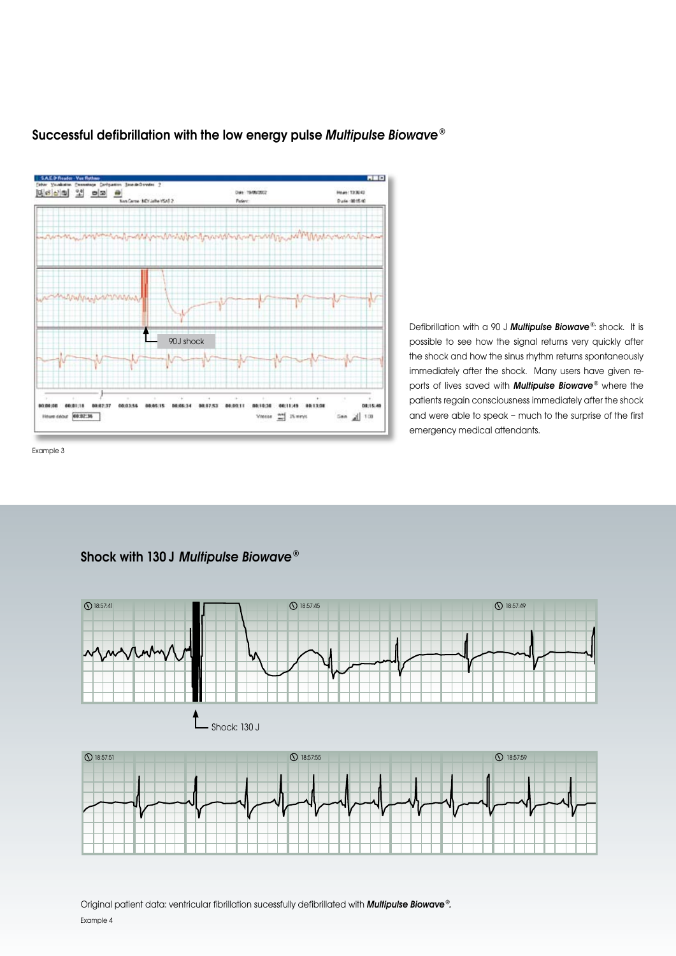

Successful defibrillation with the low energy pulse Multipulse Biowave®

Defibrillation with a 90 J Multipulse Biowave®: shock. It is possible to see how the signal returns very quickly after the shock and how the sinus rhythm returns spontaneously immediately after the shock. Many users have given reports of lives saved with **Multipulse Biowave®** where the patients regain consciousness immediately after the shock and were able to speak – much to the surprise of the first emergency medical attendants.

Example 3

### Shock with 130 J Multipulse Biowave®

![](_page_7_Figure_5.jpeg)

Original patient data: ventricular fibrillation sucessfully defibrillated with **Multipulse Biowave**®. Example 4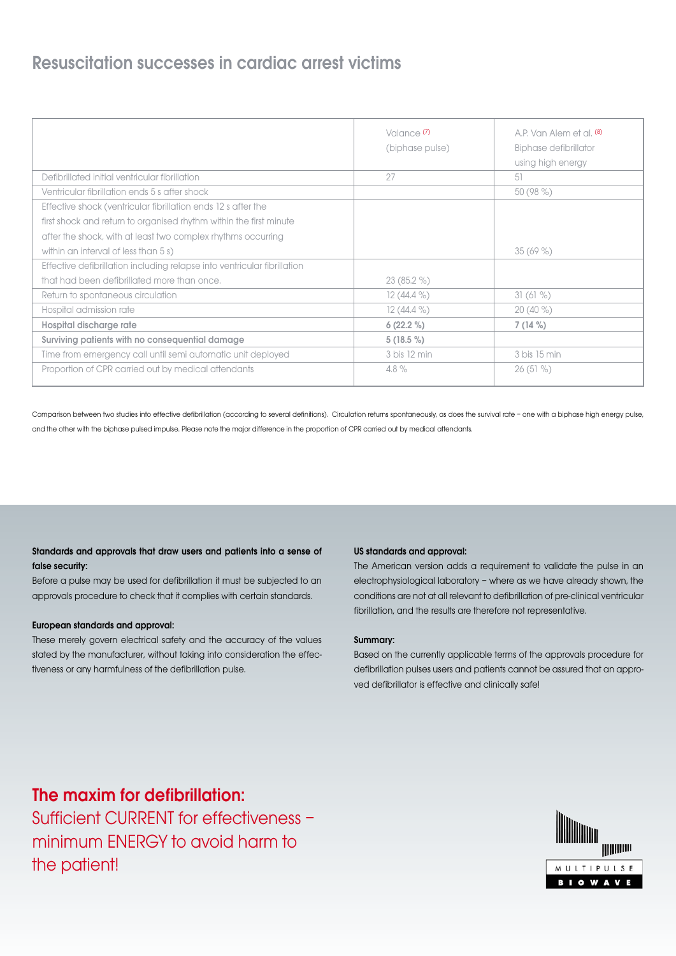## Resuscitation successes in cardiac arrest victims

|                                                                          | Valance <sup>(7)</sup><br>(biphase pulse) | A.P. Van Alem et al. (8)<br>Biphase defibrillator<br>using high energy |
|--------------------------------------------------------------------------|-------------------------------------------|------------------------------------------------------------------------|
| Defibrillated initial ventricular fibrillation                           | 27                                        | 51                                                                     |
| Ventricular fibrillation ends 5 s after shock                            |                                           | $50(98\%)$                                                             |
| Effective shock (ventricular fibrillation ends 12 s after the            |                                           |                                                                        |
| first shock and return to organised rhythm within the first minute       |                                           |                                                                        |
| after the shock, with at least two complex rhythms occurring             |                                           |                                                                        |
| within an interval of less than 5 s)                                     |                                           | $35(69\%)$                                                             |
| Effective defibrillation including relapse into ventricular fibrillation |                                           |                                                                        |
| that had been defibrillated more than once.                              | $23(85.2\%)$                              |                                                                        |
| Return to spontaneous circulation                                        | $12(44.4\%)$                              | 31(61%)                                                                |
| Hospital admission rate                                                  | $12(44.4\%)$                              | $20(40\%)$                                                             |
| Hospital discharge rate                                                  | $6(22.2\%)$                               | $7(14\%)$                                                              |
| Surviving patients with no consequential damage                          | $5(18.5\%)$                               |                                                                        |
| Time from emergency call until semi automatic unit deployed              | 3 bis 12 min                              | 3 bis 15 min                                                           |
| Proportion of CPR carried out by medical attendants                      | 4.8%                                      | $26(51\%)$                                                             |

Comparison between two studies into effective defibrillation (according to several definitions). Circulation returns spontaneously, as does the survival rate - one with a biphase high energy pulse, and the other with the biphase pulsed impulse. Please note the major difference in the proportion of CPR carried out by medical attendants.

### Standards and approvals that draw users and patients into a sense of false security:

Before a pulse may be used for defibrillation it must be subjected to an approvals procedure to check that it complies with certain standards.

### European standards and approval:

These merely govern electrical safety and the accuracy of the values stated by the manufacturer, without taking into consideration the effectiveness or any harmfulness of the defibrillation pulse.

### US standards and approval:

The American version adds a requirement to validate the pulse in an electrophysiological laboratory – where as we have already shown, the conditions are not at all relevant to defibrillation of pre-clinical ventricular fibrillation, and the results are therefore not representative.

### Summary:

Based on the currently applicable terms of the approvals procedure for defibrillation pulses users and patients cannot be assured that an approved defibrillator is effective and clinically safe!

## The maxim for defibrillation:

Sufficient CURRENT for effectiveness – minimum ENERGY to avoid harm to the patient!

![](_page_8_Picture_13.jpeg)